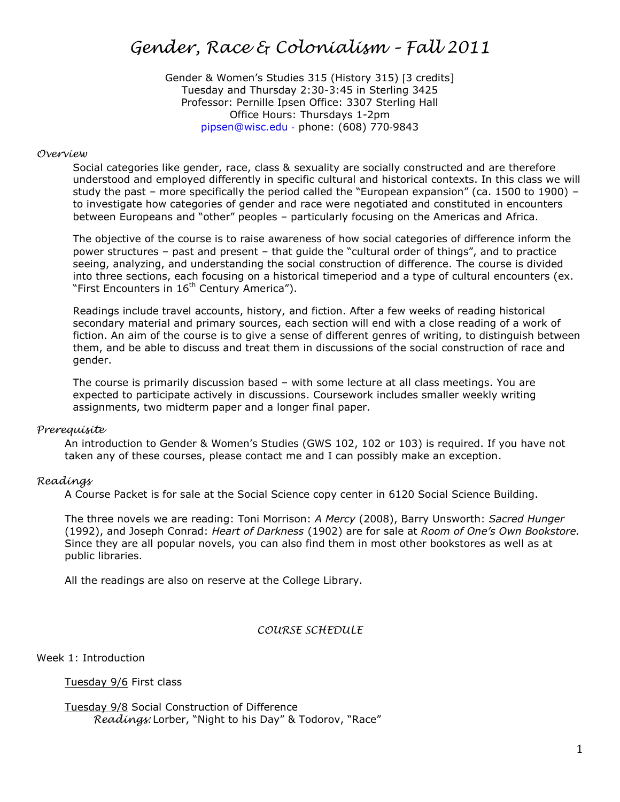# *Gender, Race & Colonialism – Fall 2011*

Gender & Women's Studies 315 (History 315) [3 credits] Tuesday and Thursday 2:30-3:45 in Sterling 3425 Professor: Pernille Ipsen Office: 3307 Sterling Hall Office Hours: Thursdays 1-2pm pipsen@wisc.edu ‐ phone: (608) 770‐9843

#### *Overview*

Social categories like gender, race, class & sexuality are socially constructed and are therefore understood and employed differently in specific cultural and historical contexts. In this class we will study the past – more specifically the period called the "European expansion" (ca. 1500 to 1900) – to investigate how categories of gender and race were negotiated and constituted in encounters between Europeans and "other" peoples – particularly focusing on the Americas and Africa.

The objective of the course is to raise awareness of how social categories of difference inform the power structures – past and present – that guide the "cultural order of things", and to practice seeing, analyzing, and understanding the social construction of difference. The course is divided into three sections, each focusing on a historical timeperiod and a type of cultural encounters (ex. "First Encounters in 16<sup>th</sup> Century America").

Readings include travel accounts, history, and fiction. After a few weeks of reading historical secondary material and primary sources, each section will end with a close reading of a work of fiction. An aim of the course is to give a sense of different genres of writing, to distinguish between them, and be able to discuss and treat them in discussions of the social construction of race and gender.

The course is primarily discussion based – with some lecture at all class meetings. You are expected to participate actively in discussions. Coursework includes smaller weekly writing assignments, two midterm paper and a longer final paper.

#### *Prerequisite*

An introduction to Gender & Women's Studies (GWS 102, 102 or 103) is required. If you have not taken any of these courses, please contact me and I can possibly make an exception.

### *Readings*

A Course Packet is for sale at the Social Science copy center in 6120 Social Science Building.

The three novels we are reading: Toni Morrison: *A Mercy* (2008), Barry Unsworth: *Sacred Hunger* (1992), and Joseph Conrad: *Heart of Darkness* (1902) are for sale at *Room of One's Own Bookstore.* Since they are all popular novels, you can also find them in most other bookstores as well as at public libraries.

All the readings are also on reserve at the College Library.

#### *COURSE SCHEDULE*

Week 1: Introduction

Tuesday 9/6 First class

Tuesday 9/8 Social Construction of Difference *Readings:* Lorber, "Night to his Day" & Todorov, "Race"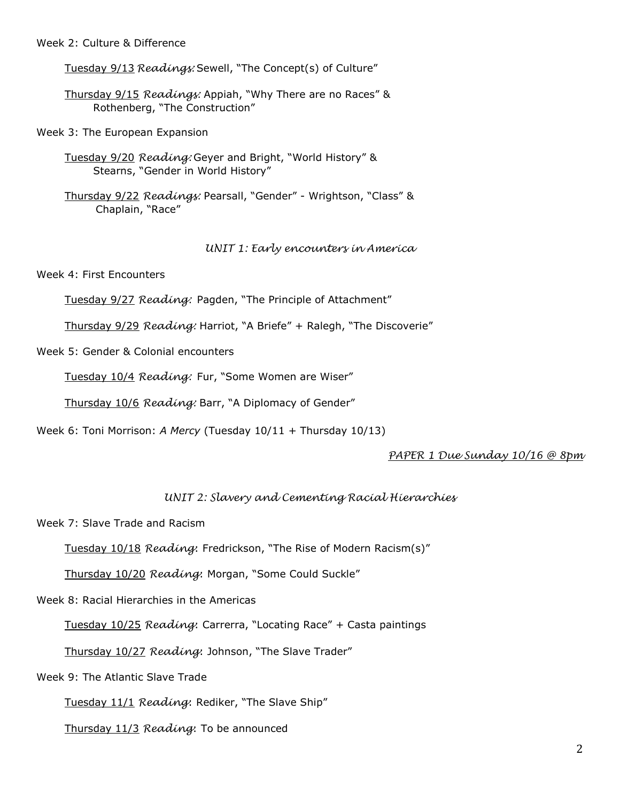Week 2: Culture & Difference

Tuesday 9/13 *Readings:* Sewell, "The Concept(s) of Culture"

Thursday 9/15 *Readings:* Appiah, "Why There are no Races" & Rothenberg, "The Construction"

Week 3: The European Expansion

Tuesday 9/20 *Reading:* Geyer and Bright, "World History" & Stearns, "Gender in World History"

Thursday 9/22 *Readings:* Pearsall, "Gender" - Wrightson, "Class" & Chaplain, "Race"

*UNIT 1: Early encounters in America*

Week 4: First Encounters

Tuesday 9/27 *Reading:* Pagden, "The Principle of Attachment"

Thursday 9/29 *Reading:* Harriot, "A Briefe" + Ralegh, "The Discoverie"

Week 5: Gender & Colonial encounters

Tuesday 10/4 *Reading:* Fur, "Some Women are Wiser"

Thursday 10/6 *Reading:* Barr, "A Diplomacy of Gender"

Week 6: Toni Morrison: *A Mercy* (Tuesday 10/11 + Thursday 10/13)

## *PAPER 1 Due Sunday 10/16 @ 8pm*

## *UNIT 2: Slavery and Cementing Racial Hierarchies*

Week 7: Slave Trade and Racism

Tuesday 10/18 *Reading*: Fredrickson, "The Rise of Modern Racism(s)"

Thursday 10/20 *Reading*: Morgan, "Some Could Suckle"

Week 8: Racial Hierarchies in the Americas

Tuesday 10/25 *Reading*: Carrerra, "Locating Race" + Casta paintings

Thursday 10/27 *Reading*: Johnson, "The Slave Trader"

Week 9: The Atlantic Slave Trade

Tuesday 11/1 *Reading*: Rediker, "The Slave Ship"

Thursday 11/3 *Reading*: To be announced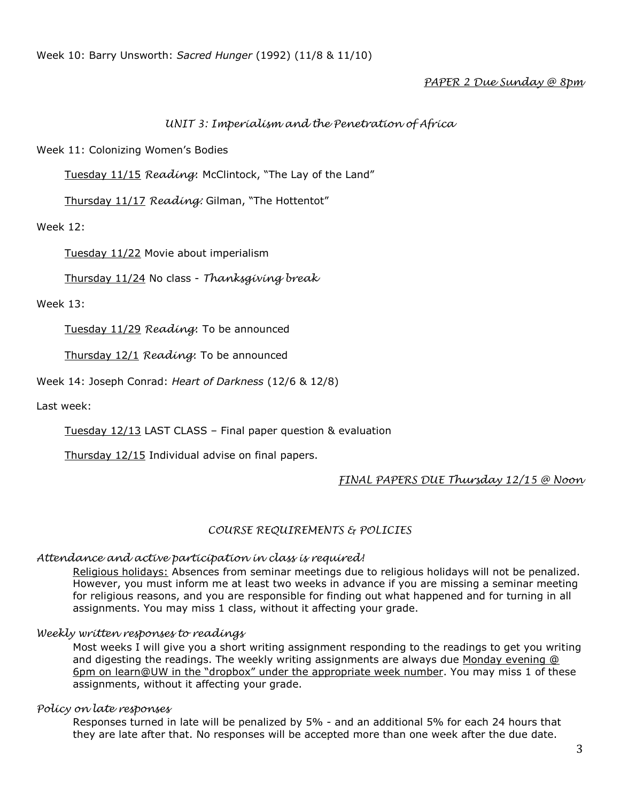# *PAPER 2 Due Sunday @ 8pm*

# *UNIT 3: Imperialism and the Penetration of Africa*

Week 11: Colonizing Women's Bodies

Tuesday 11/15 *Reading*: McClintock, "The Lay of the Land"

Thursday 11/17 *Reading:* Gilman, "The Hottentot"

Week 12:

Tuesday 11/22 Movie about imperialism

Thursday 11/24 No class - *Thanksgiving break*

Week 13:

Tuesday 11/29 *Reading*: To be announced

Thursday 12/1 *Reading*: To be announced

Week 14: Joseph Conrad: *Heart of Darkness* (12/6 & 12/8)

Last week:

Tuesday 12/13 LAST CLASS – Final paper question & evaluation

Thursday 12/15 Individual advise on final papers.

## *FINAL PAPERS DUE Thursday 12/15 @ Noon*

### *COURSE REQUIREMENTS & POLICIES*

### *Attendance and active participation in class is required!*

Religious holidays: Absences from seminar meetings due to religious holidays will not be penalized. However, you must inform me at least two weeks in advance if you are missing a seminar meeting for religious reasons, and you are responsible for finding out what happened and for turning in all assignments. You may miss 1 class, without it affecting your grade.

### *Weekly written responses to readings*

Most weeks I will give you a short writing assignment responding to the readings to get you writing and digesting the readings. The weekly writing assignments are always due Monday evening @ 6pm on learn@UW in the "dropbox" under the appropriate week number. You may miss 1 of these assignments, without it affecting your grade.

### *Policy on late responses*

Responses turned in late will be penalized by 5% - and an additional 5% for each 24 hours that they are late after that. No responses will be accepted more than one week after the due date.